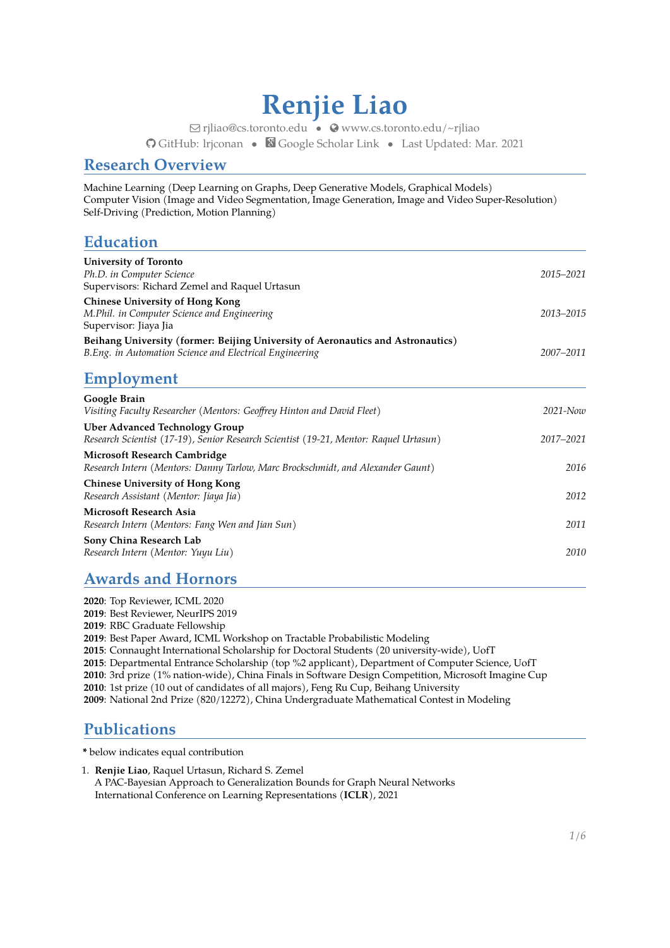# **Renjie Liao**

Q [rjliao@cs.toronto.edu](mailto:rjliao@cs.toronto.edu) • [www.cs.toronto.edu/~rjliao](http://www.cs.toronto.edu/~rjliao) [GitHub: lrjconan](https://github.com/lrjconan) • [Google Scholar Link](https://scholar.google.com/citations?user=2wrS35MAAAAJ&hl=en&oi=ao) • Last Updated: Mar. 2021

### **Research Overview**

Machine Learning (Deep Learning on Graphs, Deep Generative Models, Graphical Models) Computer Vision (Image and Video Segmentation, Image Generation, Image and Video Super-Resolution) Self-Driving (Prediction, Motion Planning)

## **Education**

| <b>University of Toronto</b><br>Ph.D. in Computer Science<br>Supervisors: Richard Zemel and Raquel Urtasun                                  | 2015-2021     |
|---------------------------------------------------------------------------------------------------------------------------------------------|---------------|
| <b>Chinese University of Hong Kong</b><br>M.Phil. in Computer Science and Engineering<br>Supervisor: Jiaya Jia                              | 2013-2015     |
| Beihang University (former: Beijing University of Aeronautics and Astronautics)<br>B. Eng. in Automation Science and Electrical Engineering | 2007-2011     |
| Employment                                                                                                                                  |               |
| Google Brain<br>Visiting Faculty Researcher (Mentors: Geoffrey Hinton and David Fleet)                                                      | $2021 - N$ ow |
| <b>Uber Advanced Technology Group</b><br>Research Scientist (17-19), Senior Research Scientist (19-21, Mentor: Raquel Urtasun)              | 2017-2021     |
| Microsoft Research Cambridge<br>Research Intern (Mentors: Danny Tarlow, Marc Brockschmidt, and Alexander Gaunt)                             | 2016          |
| <b>Chinese University of Hong Kong</b><br>Research Assistant (Mentor: Jiaya Jia)                                                            | 2012          |
| Microsoft Research Asia<br>Research Intern (Mentors: Fang Wen and Jian Sun)                                                                 | 2011          |
| Sony China Research Lab<br>Research Intern (Mentor: Yuyu Liu)                                                                               | 2010          |

## **Awards and Hornors**

: Top Reviewer, ICML 2020 : Best Reviewer, NeurIPS 2019 : RBC Graduate Fellowship : Best Paper Award, ICML Workshop on Tractable Probabilistic Modeling : Connaught International Scholarship for Doctoral Students (20 university-wide), UofT : Departmental Entrance Scholarship (top %2 applicant), Department of Computer Science, UofT : 3rd prize (1% nation-wide), China Finals in Software Design Competition, Microsoft Imagine Cup : 1st prize (10 out of candidates of all majors), Feng Ru Cup, Beihang University : National 2nd Prize (820/12272), China Undergraduate Mathematical Contest in Modeling

## **Publications**

**\*** below indicates equal contribution

1. **Renjie Liao**, Raquel Urtasun, Richard S. Zemel A PAC-Bayesian Approach to Generalization Bounds for Graph Neural Networks International Conference on Learning Representations (**ICLR**), 2021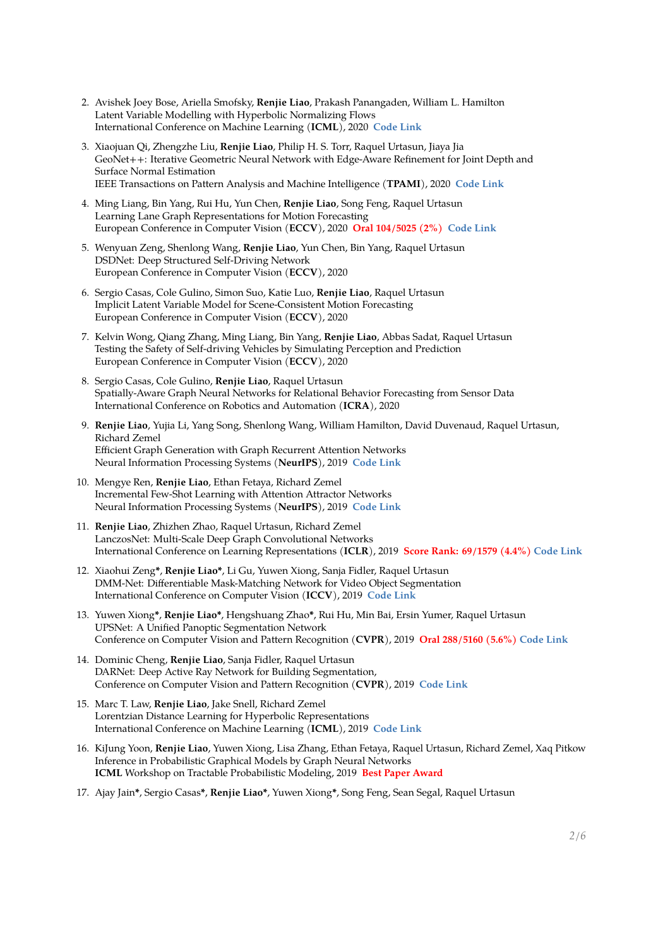- 2. Avishek Joey Bose, Ariella Smofsky, **Renjie Liao**, Prakash Panangaden, William L. Hamilton Latent Variable Modelling with Hyperbolic Normalizing Flows International Conference on Machine Learning (**ICML**), 2020 **[Code Link](https://github.com/joeybose/HyperbolicNF)**
- 3. Xiaojuan Qi, Zhengzhe Liu, **Renjie Liao**, Philip H. S. Torr, Raquel Urtasun, Jiaya Jia GeoNet++: Iterative Geometric Neural Network with Edge-Aware Refinement for Joint Depth and Surface Normal Estimation IEEE Transactions on Pattern Analysis and Machine Intelligence (**TPAMI**), 2020 **[Code Link](https://github.com/xjqi/GeoNet)**
- 4. Ming Liang, Bin Yang, Rui Hu, Yun Chen, **Renjie Liao**, Song Feng, Raquel Urtasun Learning Lane Graph Representations for Motion Forecasting European Conference in Computer Vision (**ECCV**), 2020 **Oral 104/5025 (2%) [Code Link](https://github.com/uber-research/LaneGCN)**
- 5. Wenyuan Zeng, Shenlong Wang, **Renjie Liao**, Yun Chen, Bin Yang, Raquel Urtasun DSDNet: Deep Structured Self-Driving Network European Conference in Computer Vision (**ECCV**), 2020
- 6. Sergio Casas, Cole Gulino, Simon Suo, Katie Luo, **Renjie Liao**, Raquel Urtasun Implicit Latent Variable Model for Scene-Consistent Motion Forecasting European Conference in Computer Vision (**ECCV**), 2020
- 7. Kelvin Wong, Qiang Zhang, Ming Liang, Bin Yang, **Renjie Liao**, Abbas Sadat, Raquel Urtasun Testing the Safety of Self-driving Vehicles by Simulating Perception and Prediction European Conference in Computer Vision (**ECCV**), 2020
- 8. Sergio Casas, Cole Gulino, **Renjie Liao**, Raquel Urtasun Spatially-Aware Graph Neural Networks for Relational Behavior Forecasting from Sensor Data International Conference on Robotics and Automation (**ICRA**), 2020
- 9. **Renjie Liao**, Yujia Li, Yang Song, Shenlong Wang, William Hamilton, David Duvenaud, Raquel Urtasun, Richard Zemel Efficient Graph Generation with Graph Recurrent Attention Networks Neural Information Processing Systems (**NeurIPS**), 2019 **[Code Link](https://github.com/lrjconan/GRAN)**
- 10. Mengye Ren, **Renjie Liao**, Ethan Fetaya, Richard Zemel Incremental Few-Shot Learning with Attention Attractor Networks Neural Information Processing Systems (**NeurIPS**), 2019 **[Code Link](https://github.com/renmengye/inc-few-shot-attractor-public)**
- 11. **Renjie Liao**, Zhizhen Zhao, Raquel Urtasun, Richard Zemel LanczosNet: Multi-Scale Deep Graph Convolutional Networks International Conference on Learning Representations (**ICLR**), 2019 **[Score Rank: 69/1579 \(4.4%\)](https://chillee.github.io/OpenReviewExplorer/?conf=iclr2019) [Code Link](https://github.com/lrjconan/LanczosNetwork)**
- 12. Xiaohui Zeng**\***, **Renjie Liao\***, Li Gu, Yuwen Xiong, Sanja Fidler, Raquel Urtasun DMM-Net: Differentiable Mask-Matching Network for Video Object Segmentation International Conference on Computer Vision (**ICCV**), 2019 **[Code Link](https://github.com/ZENGXH/DMM_Net)**
- 13. Yuwen Xiong**\***, **Renjie Liao\***, Hengshuang Zhao**\***, Rui Hu, Min Bai, Ersin Yumer, Raquel Urtasun UPSNet: A Unified Panoptic Segmentation Network Conference on Computer Vision and Pattern Recognition (**CVPR**), 2019 **Oral 288/5160 (5.6%) [Code Link](https://github.com/uber-research/UPSNet)**
- 14. Dominic Cheng, **Renjie Liao**, Sanja Fidler, Raquel Urtasun DARNet: Deep Active Ray Network for Building Segmentation, Conference on Computer Vision and Pattern Recognition (**CVPR**), 2019 **[Code Link](https://github.com/dcheng-utoronto/darnet)**
- 15. Marc T. Law, **Renjie Liao**, Jake Snell, Richard Zemel Lorentzian Distance Learning for Hyperbolic Representations International Conference on Machine Learning (**ICML**), 2019 **[Code Link](https://github.com/MarcTLaw/LorentzianDistanceRetrieval)**
- 16. KiJung Yoon, **Renjie Liao**, Yuwen Xiong, Lisa Zhang, Ethan Fetaya, Raquel Urtasun, Richard Zemel, Xaq Pitkow Inference in Probabilistic Graphical Models by Graph Neural Networks **ICML** Workshop on Tractable Probabilistic Modeling, 2019 **Best Paper Award**
- 17. Ajay Jain**\***, Sergio Casas**\***, **Renjie Liao\***, Yuwen Xiong**\***, Song Feng, Sean Segal, Raquel Urtasun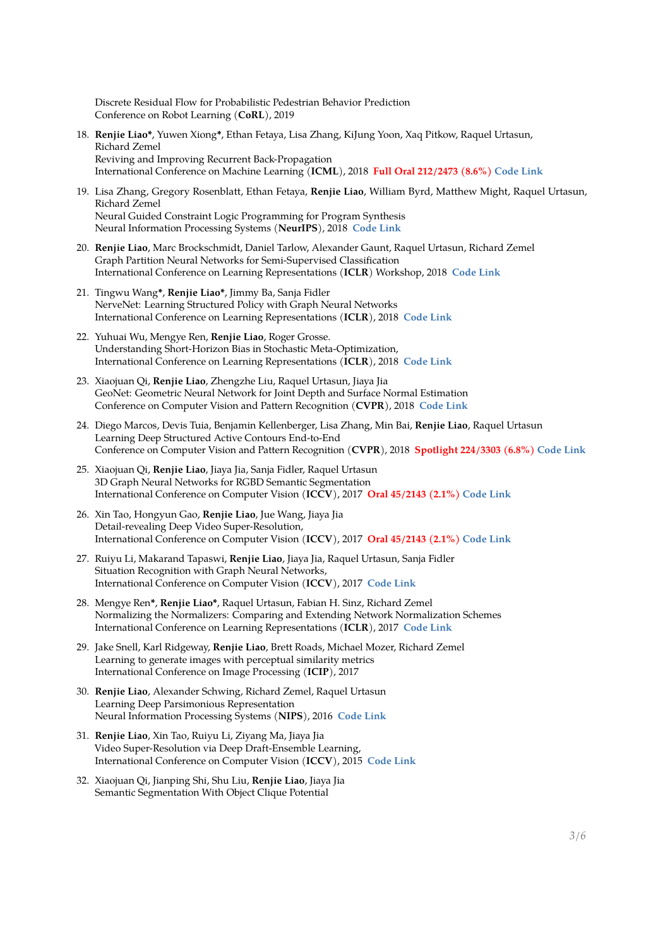Discrete Residual Flow for Probabilistic Pedestrian Behavior Prediction Conference on Robot Learning (**CoRL**), 2019

- 18. **Renjie Liao\***, Yuwen Xiong**\***, Ethan Fetaya, Lisa Zhang, KiJung Yoon, Xaq Pitkow, Raquel Urtasun, Richard Zemel Reviving and Improving Recurrent Back-Propagation International Conference on Machine Learning (**ICML**), 2018 **Full Oral 212/2473 (8.6%) [Code Link](https://github.com/lrjconan/RBP)**
- 19. Lisa Zhang, Gregory Rosenblatt, Ethan Fetaya, **Renjie Liao**, William Byrd, Matthew Might, Raquel Urtasun, Richard Zemel Neural Guided Constraint Logic Programming for Program Synthesis Neural Information Processing Systems (**NeurIPS**), 2018 **[Code Link](https://github.com/xuexue/neuralkanren)**
- 20. **Renjie Liao**, Marc Brockschmidt, Daniel Tarlow, Alexander Gaunt, Raquel Urtasun, Richard Zemel Graph Partition Neural Networks for Semi-Supervised Classification International Conference on Learning Representations (**ICLR**) Workshop, 2018 **[Code Link](https://github.com/Microsoft/graph-partition-neural-network-samples)**
- 21. Tingwu Wang**\***, **Renjie Liao\***, Jimmy Ba, Sanja Fidler NerveNet: Learning Structured Policy with Graph Neural Networks International Conference on Learning Representations (**ICLR**), 2018 **[Code Link](https://github.com/WilsonWangTHU/NerveNet)**
- 22. Yuhuai Wu, Mengye Ren, **Renjie Liao**, Roger Grosse. Understanding Short-Horizon Bias in Stochastic Meta-Optimization, International Conference on Learning Representations (**ICLR**), 2018 **[Code Link](https://github.com/renmengye/meta-optim-public)**
- 23. Xiaojuan Qi, **Renjie Liao**, Zhengzhe Liu, Raquel Urtasun, Jiaya Jia GeoNet: Geometric Neural Network for Joint Depth and Surface Normal Estimation Conference on Computer Vision and Pattern Recognition (**CVPR**), 2018 **[Code Link](https://github.com/xjqi/GeoNet)**
- 24. Diego Marcos, Devis Tuia, Benjamin Kellenberger, Lisa Zhang, Min Bai, **Renjie Liao**, Raquel Urtasun Learning Deep Structured Active Contours End-to-End Conference on Computer Vision and Pattern Recognition (**CVPR**), 2018 **Spotlight 224/3303 (6.8%) [Code Link](https://github.com/dmarcosg/DSAC)**
- 25. Xiaojuan Qi, **Renjie Liao**, Jiaya Jia, Sanja Fidler, Raquel Urtasun 3D Graph Neural Networks for RGBD Semantic Segmentation International Conference on Computer Vision (**ICCV**), 2017 **Oral 45/2143 (2.1%) [Code Link](https://github.com/xjqicuhk/3DGNN)**
- 26. Xin Tao, Hongyun Gao, **Renjie Liao**, Jue Wang, Jiaya Jia Detail-revealing Deep Video Super-Resolution, International Conference on Computer Vision (**ICCV**), 2017 **Oral 45/2143 (2.1%) [Code Link](https://github.com/jiangsutx/SPMC_VideoSR)**
- 27. Ruiyu Li, Makarand Tapaswi, **Renjie Liao**, Jiaya Jia, Raquel Urtasun, Sanja Fidler Situation Recognition with Graph Neural Networks, International Conference on Computer Vision (**ICCV**), 2017 **[Code Link](https://github.com/liruiyu/ggnn)**
- 28. Mengye Ren**\***, **Renjie Liao\***, Raquel Urtasun, Fabian H. Sinz, Richard Zemel Normalizing the Normalizers: Comparing and Extending Network Normalization Schemes International Conference on Learning Representations (**ICLR**), 2017 **[Code Link](https://github.com/renmengye/div-norm)**
- 29. Jake Snell, Karl Ridgeway, **Renjie Liao**, Brett Roads, Michael Mozer, Richard Zemel Learning to generate images with perceptual similarity metrics International Conference on Image Processing (**ICIP**), 2017
- 30. **Renjie Liao**, Alexander Schwing, Richard Zemel, Raquel Urtasun Learning Deep Parsimonious Representation Neural Information Processing Systems (**NIPS**), 2016 **[Code Link](https://github.com/lrjconan/deep_parsimonious)**
- 31. **Renjie Liao**, Xin Tao, Ruiyu Li, Ziyang Ma, Jiaya Jia Video Super-Resolution via Deep Draft-Ensemble Learning, International Conference on Computer Vision (**ICCV**), 2015 **[Code Link](http://www.cse.cuhk.edu.hk/leojia/projects/DeepSR/)**
- 32. Xiaojuan Qi, Jianping Shi, Shu Liu, **Renjie Liao**, Jiaya Jia Semantic Segmentation With Object Clique Potential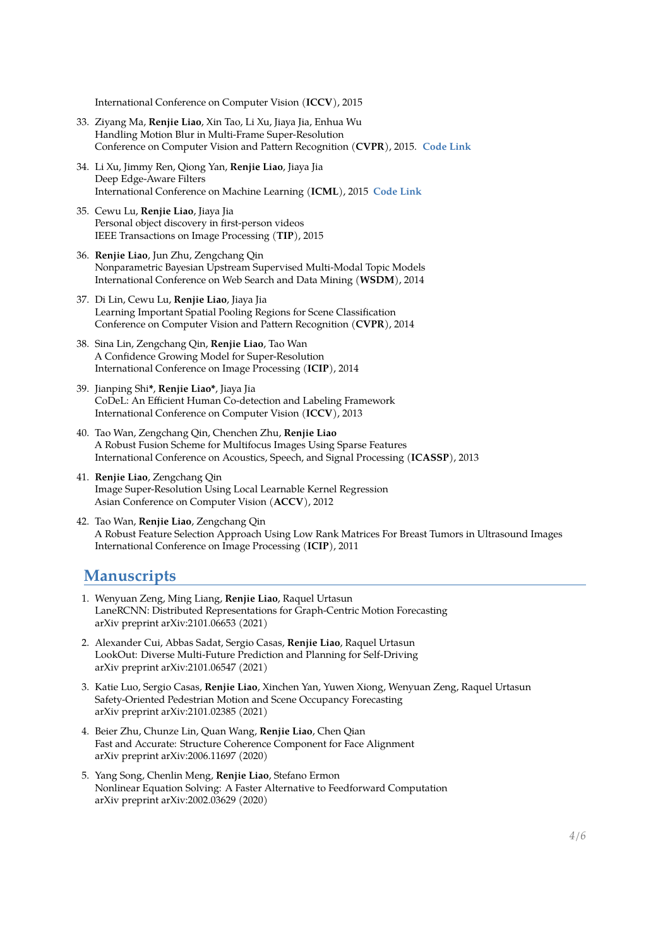International Conference on Computer Vision (**ICCV**), 2015

- 33. Ziyang Ma, **Renjie Liao**, Xin Tao, Li Xu, Jiaya Jia, Enhua Wu Handling Motion Blur in Multi-Frame Super-Resolution Conference on Computer Vision and Pattern Recognition (**CVPR**), 2015. **[Code Link](http://www.cse.cuhk.edu.hk/leojia/projects/mfsr/index.html)**
- 34. Li Xu, Jimmy Ren, Qiong Yan, **Renjie Liao**, Jiaya Jia Deep Edge-Aware Filters International Conference on Machine Learning (**ICML**), 2015 **[Code Link](https://github.com/jimmy-ren/vcnn_double-bladed/tree/master/applications/deep_edge_aware_filters)**
- 35. Cewu Lu, **Renjie Liao**, Jiaya Jia Personal object discovery in first-person videos IEEE Transactions on Image Processing (**TIP**), 2015
- 36. **Renjie Liao**, Jun Zhu, Zengchang Qin Nonparametric Bayesian Upstream Supervised Multi-Modal Topic Models International Conference on Web Search and Data Mining (**WSDM**), 2014
- 37. Di Lin, Cewu Lu, **Renjie Liao**, Jiaya Jia Learning Important Spatial Pooling Regions for Scene Classification Conference on Computer Vision and Pattern Recognition (**CVPR**), 2014
- 38. Sina Lin, Zengchang Qin, **Renjie Liao**, Tao Wan A Confidence Growing Model for Super-Resolution International Conference on Image Processing (**ICIP**), 2014
- 39. Jianping Shi**\***, **Renjie Liao\***, Jiaya Jia CoDeL: An Efficient Human Co-detection and Labeling Framework International Conference on Computer Vision (**ICCV**), 2013
- 40. Tao Wan, Zengchang Qin, Chenchen Zhu, **Renjie Liao** A Robust Fusion Scheme for Multifocus Images Using Sparse Features International Conference on Acoustics, Speech, and Signal Processing (**ICASSP**), 2013
- 41. **Renjie Liao**, Zengchang Qin Image Super-Resolution Using Local Learnable Kernel Regression Asian Conference on Computer Vision (**ACCV**), 2012
- 42. Tao Wan, **Renjie Liao**, Zengchang Qin A Robust Feature Selection Approach Using Low Rank Matrices For Breast Tumors in Ultrasound Images International Conference on Image Processing (**ICIP**), 2011

#### **Manuscripts**

- 1. Wenyuan Zeng, Ming Liang, **Renjie Liao**, Raquel Urtasun LaneRCNN: Distributed Representations for Graph-Centric Motion Forecasting arXiv preprint arXiv:2101.06653 (2021)
- 2. Alexander Cui, Abbas Sadat, Sergio Casas, **Renjie Liao**, Raquel Urtasun LookOut: Diverse Multi-Future Prediction and Planning for Self-Driving arXiv preprint arXiv:2101.06547 (2021)
- 3. Katie Luo, Sergio Casas, **Renjie Liao**, Xinchen Yan, Yuwen Xiong, Wenyuan Zeng, Raquel Urtasun Safety-Oriented Pedestrian Motion and Scene Occupancy Forecasting arXiv preprint arXiv:2101.02385 (2021)
- 4. Beier Zhu, Chunze Lin, Quan Wang, **Renjie Liao**, Chen Qian Fast and Accurate: Structure Coherence Component for Face Alignment arXiv preprint arXiv:2006.11697 (2020)
- 5. Yang Song, Chenlin Meng, **Renjie Liao**, Stefano Ermon Nonlinear Equation Solving: A Faster Alternative to Feedforward Computation arXiv preprint arXiv:2002.03629 (2020)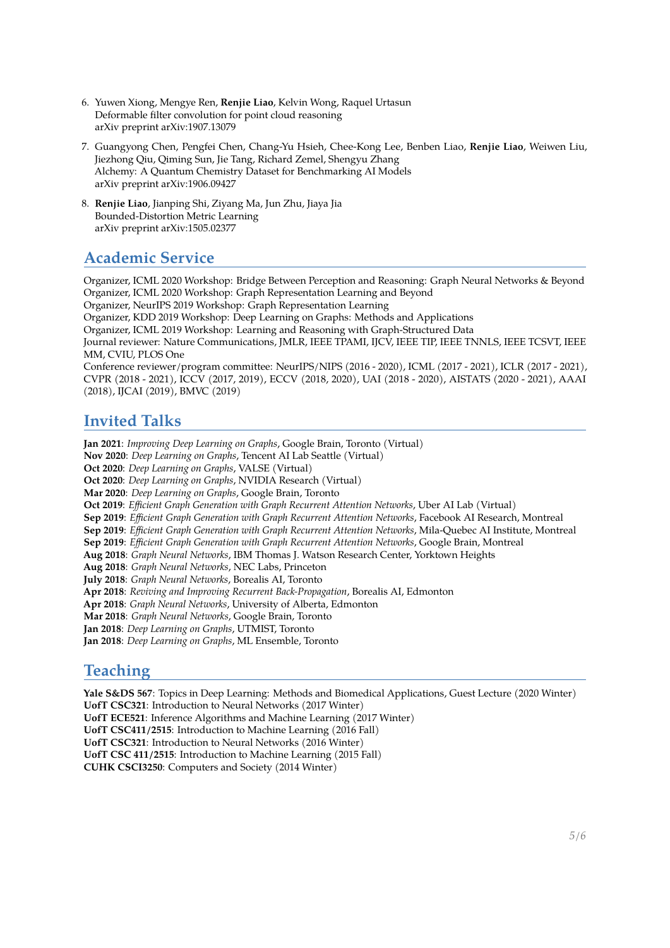- 6. Yuwen Xiong, Mengye Ren, **Renjie Liao**, Kelvin Wong, Raquel Urtasun Deformable filter convolution for point cloud reasoning arXiv preprint arXiv:1907.13079
- 7. Guangyong Chen, Pengfei Chen, Chang-Yu Hsieh, Chee-Kong Lee, Benben Liao, **Renjie Liao**, Weiwen Liu, Jiezhong Qiu, Qiming Sun, Jie Tang, Richard Zemel, Shengyu Zhang Alchemy: A Quantum Chemistry Dataset for Benchmarking AI Models arXiv preprint arXiv:1906.09427
- 8. **Renjie Liao**, Jianping Shi, Ziyang Ma, Jun Zhu, Jiaya Jia Bounded-Distortion Metric Learning arXiv preprint arXiv:1505.02377

## **Academic Service**

Organizer, ICML 2020 Workshop: Bridge Between Perception and Reasoning: Graph Neural Networks & Beyond Organizer, ICML 2020 Workshop: Graph Representation Learning and Beyond

Organizer, NeurIPS 2019 Workshop: Graph Representation Learning

Organizer, KDD 2019 Workshop: Deep Learning on Graphs: Methods and Applications

Organizer, ICML 2019 Workshop: Learning and Reasoning with Graph-Structured Data

Journal reviewer: Nature Communications, JMLR, IEEE TPAMI, IJCV, IEEE TIP, IEEE TNNLS, IEEE TCSVT, IEEE MM, CVIU, PLOS One

Conference reviewer/program committee: NeurIPS/NIPS (2016 - 2020), ICML (2017 - 2021), ICLR (2017 - 2021), CVPR (2018 - 2021), ICCV (2017, 2019), ECCV (2018, 2020), UAI (2018 - 2020), AISTATS (2020 - 2021), AAAI (2018), IJCAI (2019), BMVC (2019)

## **Invited Talks**

**Jan 2021**: *Improving Deep Learning on Graphs*, Google Brain, Toronto (Virtual) **Nov 2020**: *Deep Learning on Graphs*, Tencent AI Lab Seattle (Virtual) **Oct 2020**: *Deep Learning on Graphs*, VALSE (Virtual) **Oct 2020**: *Deep Learning on Graphs*, NVIDIA Research (Virtual) **Mar 2020**: *Deep Learning on Graphs*, Google Brain, Toronto **Oct 2019**: *Efficient Graph Generation with Graph Recurrent Attention Networks*, Uber AI Lab (Virtual) **Sep 2019**: *Efficient Graph Generation with Graph Recurrent Attention Networks*, Facebook AI Research, Montreal **Sep 2019**: *Efficient Graph Generation with Graph Recurrent Attention Networks*, Mila-Quebec AI Institute, Montreal **Sep 2019**: *Efficient Graph Generation with Graph Recurrent Attention Networks*, Google Brain, Montreal **Aug 2018**: *Graph Neural Networks*, IBM Thomas J. Watson Research Center, Yorktown Heights **Aug 2018**: *Graph Neural Networks*, NEC Labs, Princeton **July 2018**: *Graph Neural Networks*, Borealis AI, Toronto **Apr 2018**: *Reviving and Improving Recurrent Back-Propagation*, Borealis AI, Edmonton **Apr 2018**: *Graph Neural Networks*, University of Alberta, Edmonton **Mar 2018**: *Graph Neural Networks*, Google Brain, Toronto **Jan 2018**: *Deep Learning on Graphs*, UTMIST, Toronto **Jan 2018**: *Deep Learning on Graphs*, ML Ensemble, Toronto

## **Teaching**

<span id="page-4-0"></span>**Yale S&DS 567**: Topics in Deep Learning: Methods and Biomedical Applications, Guest Lecture (2020 Winter) **UofT CSC321**: Introduction to Neural Networks (2017 Winter) **UofT ECE521**: Inference Algorithms and Machine Learning (2017 Winter) **UofT CSC411/2515**: Introduction to Machine Learning (2016 Fall) **UofT CSC321**: Introduction to Neural Networks (2016 Winter) **UofT CSC 411/2515**: Introduction to Machine Learning (2015 Fall) **CUHK CSCI3250**: Computers and Society (2014 Winter)